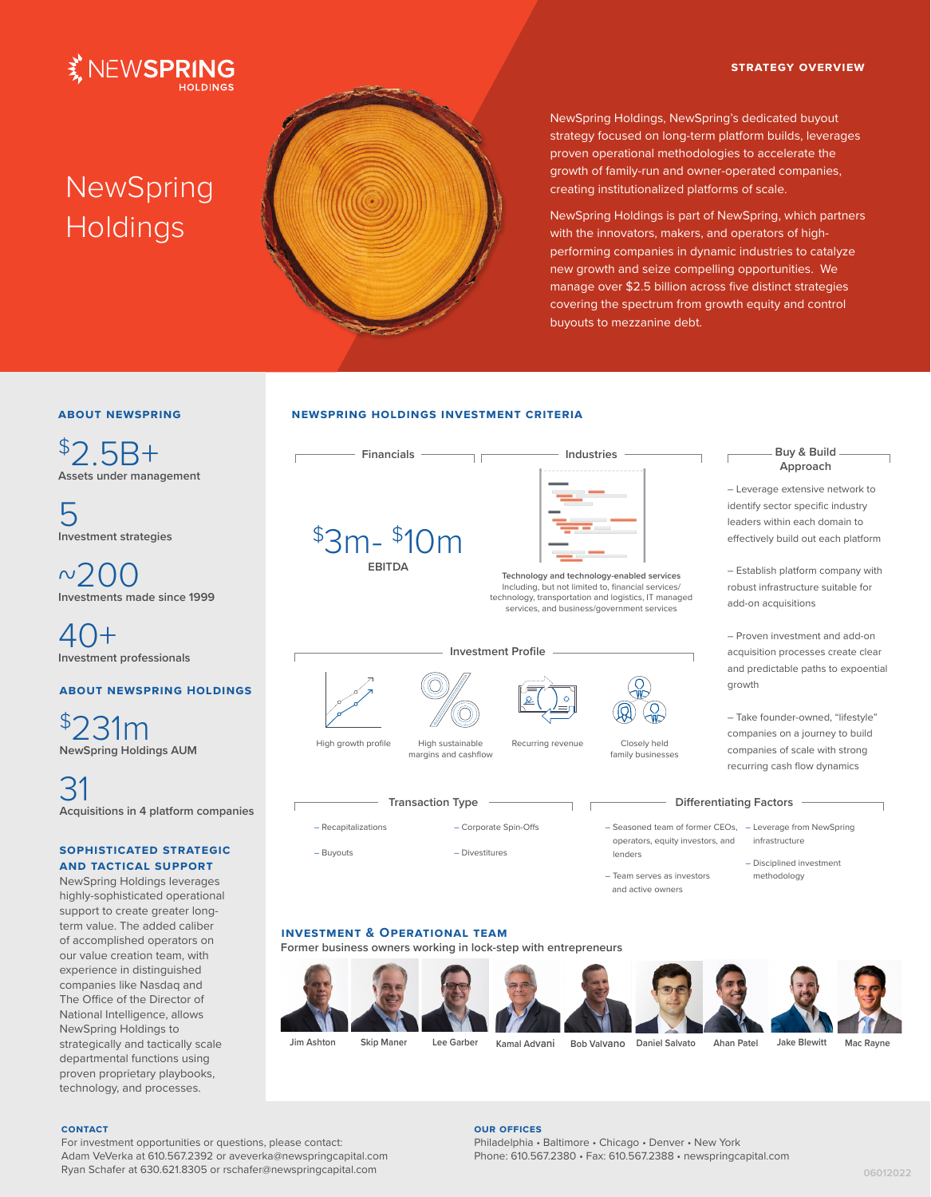#### **strategy overview**



# **NewSpring Holdings**



NewSpring Holdings, NewSpring's dedicated buyout strategy focused on long-term platform builds, leverages proven operational methodologies to accelerate the growth of family-run and owner-operated companies, creating institutionalized platforms of scale.

NewSpring Holdings is part of NewSpring, which partners with the innovators, makers, and operators of highperforming companies in dynamic industries to catalyze new growth and seize compelling opportunities. We manage over \$2.5 billion across five distinct strategies covering the spectrum from growth equity and control buyouts to mezzanine debt.

## **about newspring**

 $$2.5B+$ **Assets under management**

5 **Investment strategies**

 $~^{6}$   $200$ **Investments made since 1999**

40+ **Investment professionals**

## **about newspring Holdings**

\$231m **NewSpring Holdings AUM**

 $\beta'$ **Acquisitions in 4 platform companies**

## **sophisticated strategic and tactical support**

NewSpring Holdings leverages highly-sophisticated operational support to create greater longterm value. The added caliber of accomplished operators on our value creation team, with experience in distinguished companies like Nasdaq and The Office of the Director of National Intelligence, allows NewSpring Holdings to strategically and tactically scale departmental functions using proven proprietary playbooks, technology, and processes.

### **newspring holdings investment criteria**

| <b>Financials</b>                                               | Industries                                                                                         |                                                                                                | Buy & Build -<br>Approach                                                                                                                                                                                               |
|-----------------------------------------------------------------|----------------------------------------------------------------------------------------------------|------------------------------------------------------------------------------------------------|-------------------------------------------------------------------------------------------------------------------------------------------------------------------------------------------------------------------------|
| $$3m-$10m$<br><b>FRITDA</b>                                     | Technology and technology-enabled services<br>Including, but not limited to, financial services/   |                                                                                                | - Leverage extensive network to<br>identify sector specific industry<br>leaders within each domain to<br>effectively build out each platform<br>- Establish platform company with<br>robust infrastructure suitable for |
|                                                                 | technology, transportation and logistics, IT managed<br>services, and business/government services |                                                                                                | add-on acquisitions                                                                                                                                                                                                     |
|                                                                 | <b>Investment Profile</b>                                                                          |                                                                                                | - Proven investment and add-on<br>acquisition processes create clear<br>and predictable paths to expoential<br>growth                                                                                                   |
| High growth profile<br>High sustainable<br>margins and cashflow | Recurring revenue                                                                                  | Closely held<br>family businesses                                                              | - Take founder-owned, "lifestyle"<br>companies on a journey to build<br>companies of scale with strong<br>recurring cash flow dynamics                                                                                  |
| <b>Transaction Type</b>                                         |                                                                                                    |                                                                                                | <b>Differentiating Factors</b>                                                                                                                                                                                          |
| - Recapitalizations<br>- Buyouts                                | - Corporate Spin-Offs<br>- Divestitures                                                            | operators, equity investors, and<br>lenders<br>- Team serves as investors<br>and active owners | - Seasoned team of former CEOs, - Leverage from NewSpring<br>infrastructure<br>- Disciplined investment<br>methodology                                                                                                  |

**Jim Ashton Skip Maner Lee Garber Kamal Advani Bob Valvano Daniel Salvato Ahan Patel Jake Blewitt Mac Rayne**

#### **contact**

For investment opportunities or questions, please contact: Adam VeVerka at 610.567.2392 or aveverka@newspringcapital.com Ryan Schafer at 630.621.8305 or rschafer@newspringcapital.com

### **our offices**

Philadelphia • Baltimore • Chicago • Denver • New York Phone: 610.567.2380 • Fax: 610.567.2388 • newspringcapital.com